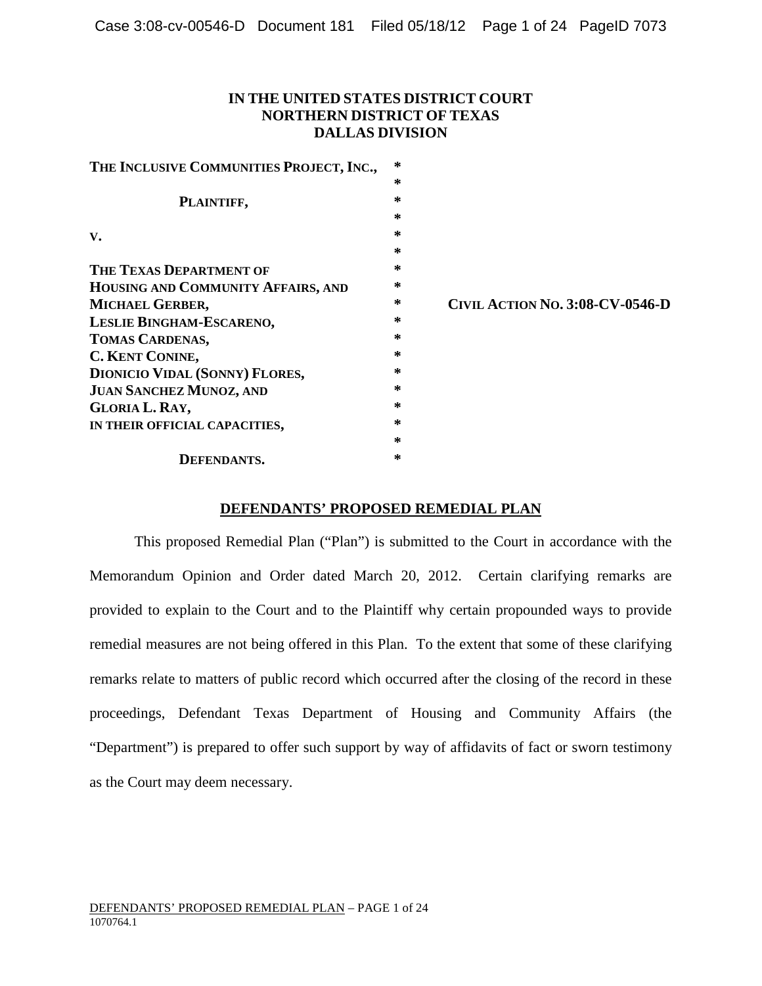## **IN THE UNITED STATES DISTRICT COURT NORTHERN DISTRICT OF TEXAS DALLAS DIVISION**

| THE INCLUSIVE COMMUNITIES PROJECT, INC., | ∗ |                                        |
|------------------------------------------|---|----------------------------------------|
|                                          | ∗ |                                        |
| PLAINTIFF,                               | ∗ |                                        |
|                                          | ∗ |                                        |
| $V_{\bullet}$                            | ∗ |                                        |
|                                          | ∗ |                                        |
| THE TEXAS DEPARTMENT OF                  | ∗ |                                        |
| HOUSING AND COMMUNITY AFFAIRS, AND       | ∗ |                                        |
| MICHAEL GERBER,                          | ∗ | <b>CIVIL ACTION NO. 3:08-CV-0546-D</b> |
| LESLIE BINGHAM-ESCARENO,                 | ∗ |                                        |
| TOMAS CARDENAS,                          | ∗ |                                        |
| <b>C. KENT CONINE,</b>                   | ∗ |                                        |
| <b>DIONICIO VIDAL (SONNY) FLORES,</b>    | ∗ |                                        |
| <b>JUAN SANCHEZ MUNOZ, AND</b>           | ∗ |                                        |
| <b>GLORIA L. RAY,</b>                    | ∗ |                                        |
| IN THEIR OFFICIAL CAPACITIES,            | ∗ |                                        |
|                                          | ∗ |                                        |
| <b>DEFENDANTS.</b>                       | ∗ |                                        |

## **DEFENDANTS' PROPOSED REMEDIAL PLAN**

This proposed Remedial Plan ("Plan") is submitted to the Court in accordance with the Memorandum Opinion and Order dated March 20, 2012. Certain clarifying remarks are provided to explain to the Court and to the Plaintiff why certain propounded ways to provide remedial measures are not being offered in this Plan. To the extent that some of these clarifying remarks relate to matters of public record which occurred after the closing of the record in these proceedings, Defendant Texas Department of Housing and Community Affairs (the "Department") is prepared to offer such support by way of affidavits of fact or sworn testimony as the Court may deem necessary.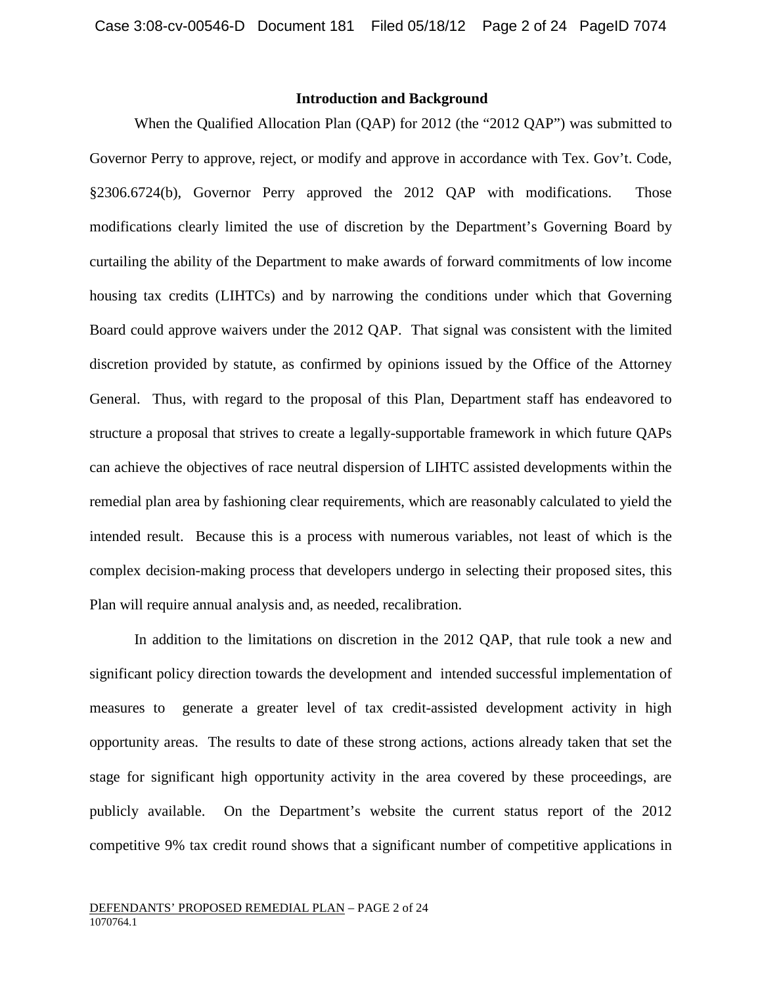## **Introduction and Background**

When the Qualified Allocation Plan (QAP) for 2012 (the "2012 QAP") was submitted to Governor Perry to approve, reject, or modify and approve in accordance with Tex. Gov't. Code, §2306.6724(b), Governor Perry approved the 2012 QAP with modifications. Those modifications clearly limited the use of discretion by the Department's Governing Board by curtailing the ability of the Department to make awards of forward commitments of low income housing tax credits (LIHTCs) and by narrowing the conditions under which that Governing Board could approve waivers under the 2012 QAP. That signal was consistent with the limited discretion provided by statute, as confirmed by opinions issued by the Office of the Attorney General. Thus, with regard to the proposal of this Plan, Department staff has endeavored to structure a proposal that strives to create a legally-supportable framework in which future QAPs can achieve the objectives of race neutral dispersion of LIHTC assisted developments within the remedial plan area by fashioning clear requirements, which are reasonably calculated to yield the intended result. Because this is a process with numerous variables, not least of which is the complex decision-making process that developers undergo in selecting their proposed sites, this Plan will require annual analysis and, as needed, recalibration.

In addition to the limitations on discretion in the 2012 QAP, that rule took a new and significant policy direction towards the development and intended successful implementation of measures to generate a greater level of tax credit-assisted development activity in high opportunity areas. The results to date of these strong actions, actions already taken that set the stage for significant high opportunity activity in the area covered by these proceedings, are publicly available. On the Department's website the current status report of the 2012 competitive 9% tax credit round shows that a significant number of competitive applications in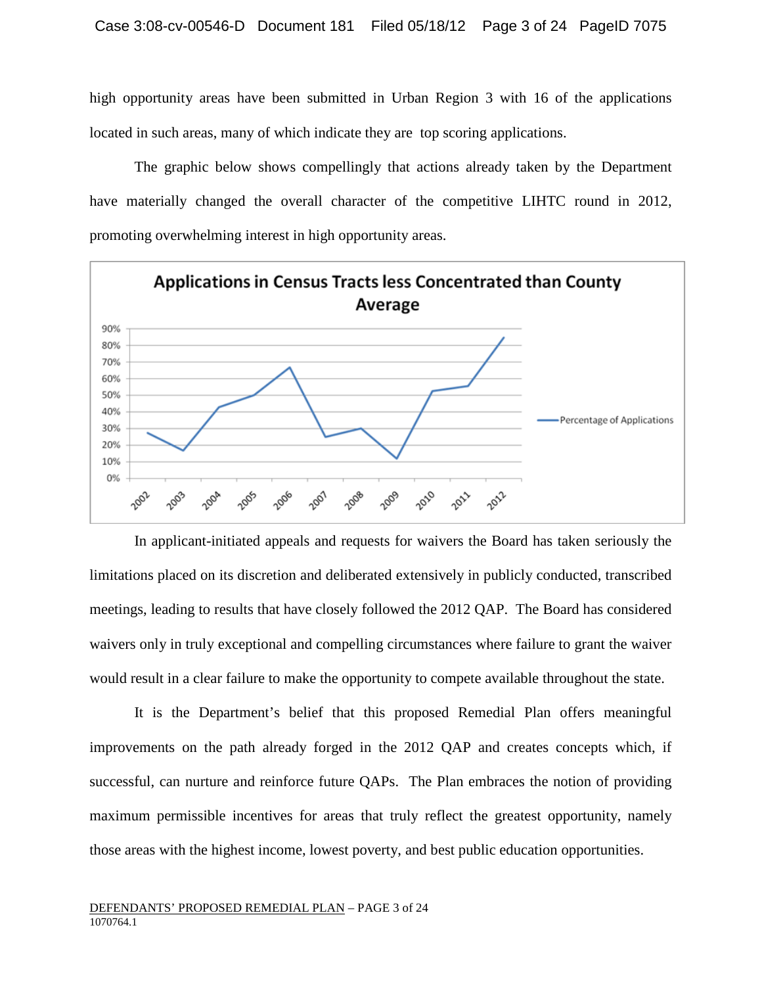high opportunity areas have been submitted in Urban Region 3 with 16 of the applications located in such areas, many of which indicate they are top scoring applications.

The graphic below shows compellingly that actions already taken by the Department have materially changed the overall character of the competitive LIHTC round in 2012, promoting overwhelming interest in high opportunity areas.



In applicant-initiated appeals and requests for waivers the Board has taken seriously the limitations placed on its discretion and deliberated extensively in publicly conducted, transcribed meetings, leading to results that have closely followed the 2012 QAP. The Board has considered waivers only in truly exceptional and compelling circumstances where failure to grant the waiver would result in a clear failure to make the opportunity to compete available throughout the state.

It is the Department's belief that this proposed Remedial Plan offers meaningful improvements on the path already forged in the 2012 QAP and creates concepts which, if successful, can nurture and reinforce future QAPs. The Plan embraces the notion of providing maximum permissible incentives for areas that truly reflect the greatest opportunity, namely those areas with the highest income, lowest poverty, and best public education opportunities.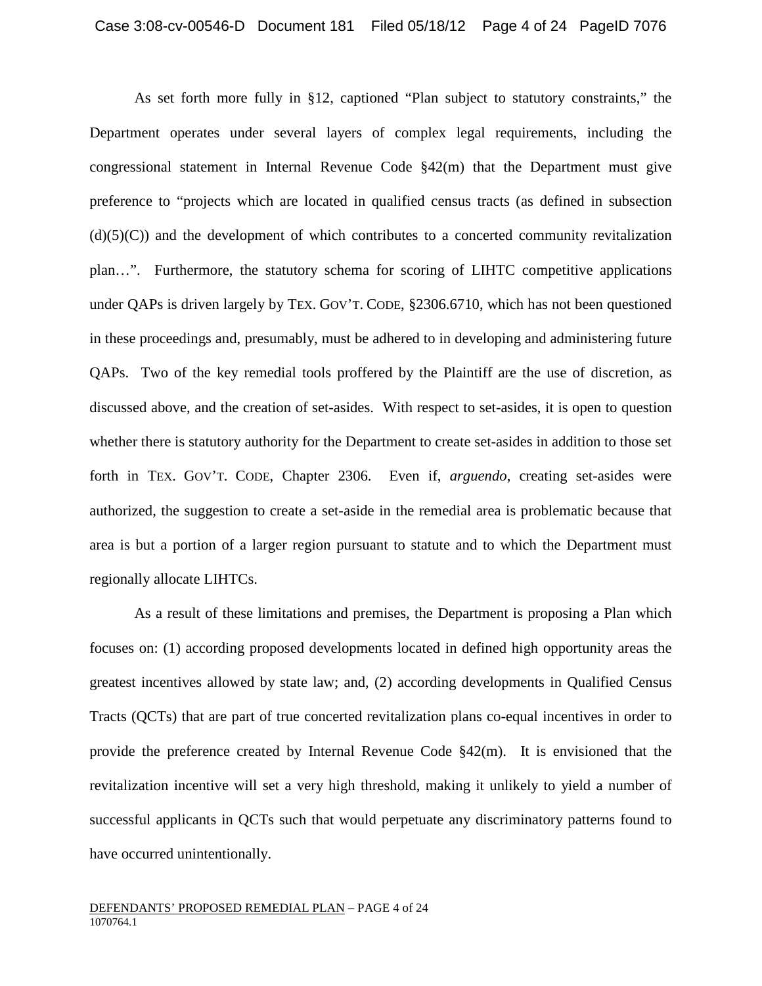As set forth more fully in §12, captioned "Plan subject to statutory constraints," the Department operates under several layers of complex legal requirements, including the congressional statement in Internal Revenue Code  $\S42(m)$  that the Department must give preference to "projects which are located in qualified census tracts (as defined in subsection  $(d)(5)(C)$  and the development of which contributes to a concerted community revitalization plan…". Furthermore, the statutory schema for scoring of LIHTC competitive applications under QAPs is driven largely by TEX. GOV'T. CODE, §2306.6710, which has not been questioned in these proceedings and, presumably, must be adhered to in developing and administering future QAPs. Two of the key remedial tools proffered by the Plaintiff are the use of discretion, as discussed above, and the creation of set-asides. With respect to set-asides, it is open to question whether there is statutory authority for the Department to create set-asides in addition to those set forth in TEX. GOV'T. CODE, Chapter 2306. Even if, *arguendo*, creating set-asides were authorized, the suggestion to create a set-aside in the remedial area is problematic because that area is but a portion of a larger region pursuant to statute and to which the Department must regionally allocate LIHTCs.

As a result of these limitations and premises, the Department is proposing a Plan which focuses on: (1) according proposed developments located in defined high opportunity areas the greatest incentives allowed by state law; and, (2) according developments in Qualified Census Tracts (QCTs) that are part of true concerted revitalization plans co-equal incentives in order to provide the preference created by Internal Revenue Code  $\S 42(m)$ . It is envisioned that the revitalization incentive will set a very high threshold, making it unlikely to yield a number of successful applicants in QCTs such that would perpetuate any discriminatory patterns found to have occurred unintentionally.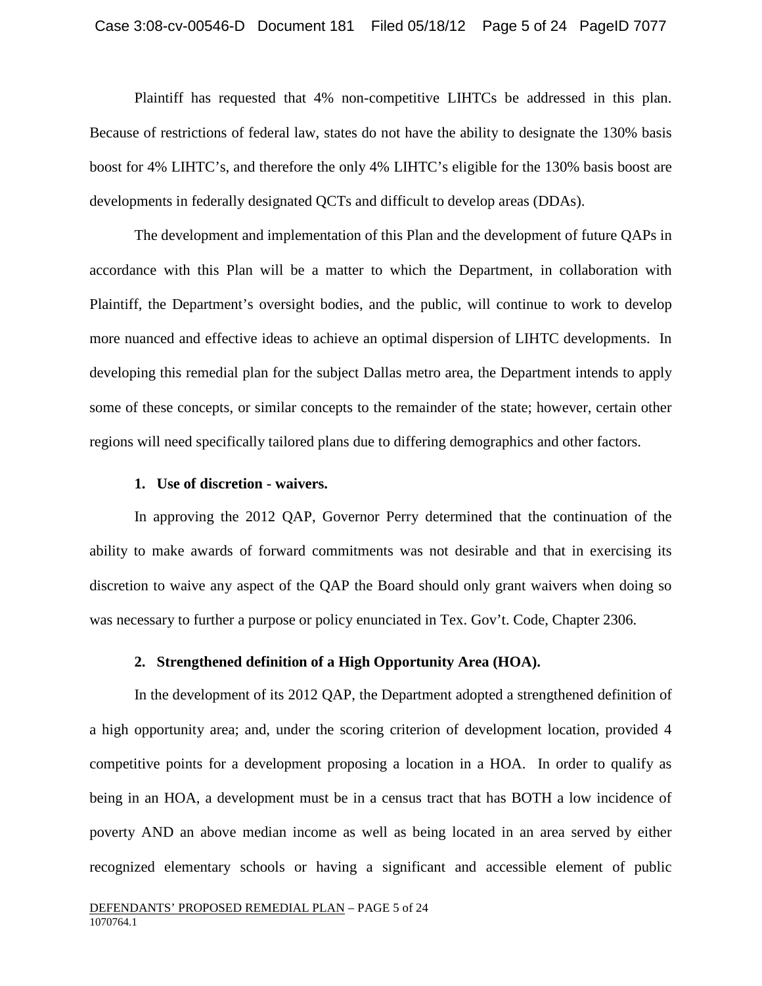Plaintiff has requested that 4% non-competitive LIHTCs be addressed in this plan. Because of restrictions of federal law, states do not have the ability to designate the 130% basis boost for 4% LIHTC's, and therefore the only 4% LIHTC's eligible for the 130% basis boost are developments in federally designated QCTs and difficult to develop areas (DDAs).

The development and implementation of this Plan and the development of future QAPs in accordance with this Plan will be a matter to which the Department, in collaboration with Plaintiff, the Department's oversight bodies, and the public, will continue to work to develop more nuanced and effective ideas to achieve an optimal dispersion of LIHTC developments. In developing this remedial plan for the subject Dallas metro area, the Department intends to apply some of these concepts, or similar concepts to the remainder of the state; however, certain other regions will need specifically tailored plans due to differing demographics and other factors.

#### **1. Use of discretion - waivers.**

In approving the 2012 QAP, Governor Perry determined that the continuation of the ability to make awards of forward commitments was not desirable and that in exercising its discretion to waive any aspect of the QAP the Board should only grant waivers when doing so was necessary to further a purpose or policy enunciated in Tex. Gov't. Code, Chapter 2306.

#### **2. Strengthened definition of a High Opportunity Area (HOA).**

In the development of its 2012 QAP, the Department adopted a strengthened definition of a high opportunity area; and, under the scoring criterion of development location, provided 4 competitive points for a development proposing a location in a HOA. In order to qualify as being in an HOA, a development must be in a census tract that has BOTH a low incidence of poverty AND an above median income as well as being located in an area served by either recognized elementary schools or having a significant and accessible element of public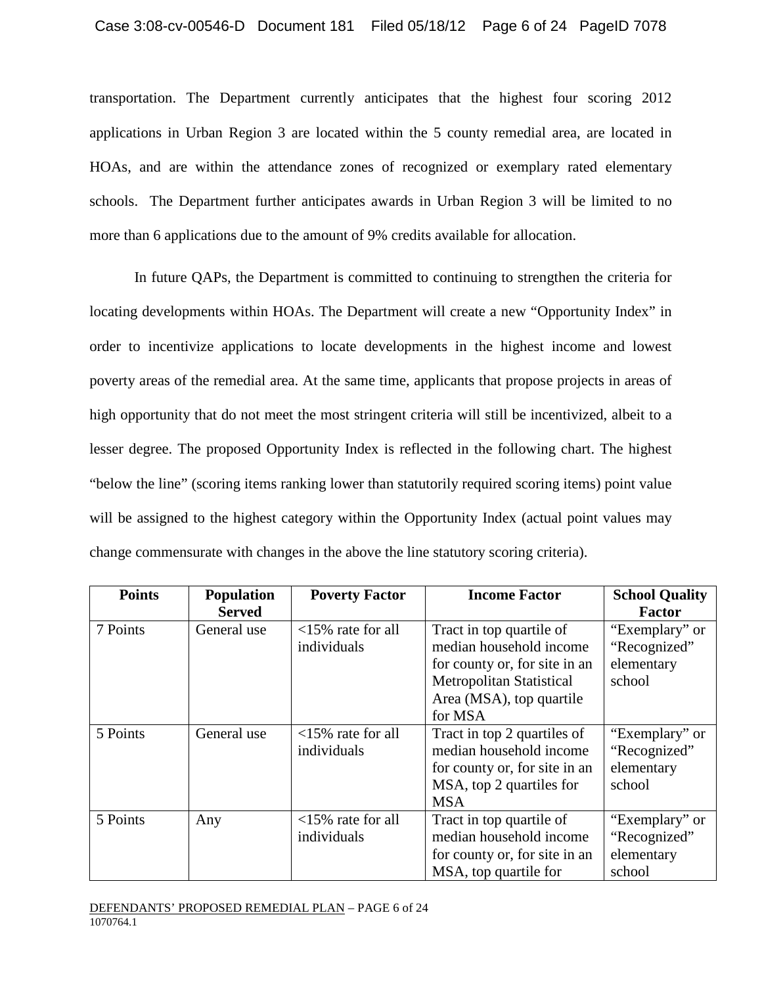transportation. The Department currently anticipates that the highest four scoring 2012 applications in Urban Region 3 are located within the 5 county remedial area, are located in HOAs, and are within the attendance zones of recognized or exemplary rated elementary schools. The Department further anticipates awards in Urban Region 3 will be limited to no more than 6 applications due to the amount of 9% credits available for allocation.

In future QAPs, the Department is committed to continuing to strengthen the criteria for locating developments within HOAs. The Department will create a new "Opportunity Index" in order to incentivize applications to locate developments in the highest income and lowest poverty areas of the remedial area. At the same time, applicants that propose projects in areas of high opportunity that do not meet the most stringent criteria will still be incentivized, albeit to a lesser degree. The proposed Opportunity Index is reflected in the following chart. The highest "below the line" (scoring items ranking lower than statutorily required scoring items) point value will be assigned to the highest category within the Opportunity Index (actual point values may change commensurate with changes in the above the line statutory scoring criteria).

| <b>Points</b> | <b>Population</b> | <b>Poverty Factor</b>       | <b>Income Factor</b>            | <b>School Quality</b> |
|---------------|-------------------|-----------------------------|---------------------------------|-----------------------|
|               | <b>Served</b>     |                             |                                 | <b>Factor</b>         |
| 7 Points      | General use       | $<$ 15% rate for all        | Tract in top quartile of        | "Exemplary" or        |
|               |                   | individuals                 | median household income         | "Recognized"          |
|               |                   |                             | for county or, for site in an   | elementary            |
|               |                   |                             | <b>Metropolitan Statistical</b> | school                |
|               |                   |                             | Area (MSA), top quartile        |                       |
|               |                   |                             | for MSA                         |                       |
| 5 Points      | General use       | $\langle 15\%$ rate for all | Tract in top 2 quartiles of     | "Exemplary" or        |
|               |                   | individuals                 | median household income         | "Recognized"          |
|               |                   |                             | for county or, for site in an   | elementary            |
|               |                   |                             | MSA, top 2 quartiles for        | school                |
|               |                   |                             | <b>MSA</b>                      |                       |
| 5 Points      | Any               | $<$ 15% rate for all        | Tract in top quartile of        | "Exemplary" or        |
|               |                   | individuals                 | median household income         | "Recognized"          |
|               |                   |                             | for county or, for site in an   | elementary            |
|               |                   |                             | MSA, top quartile for           | school                |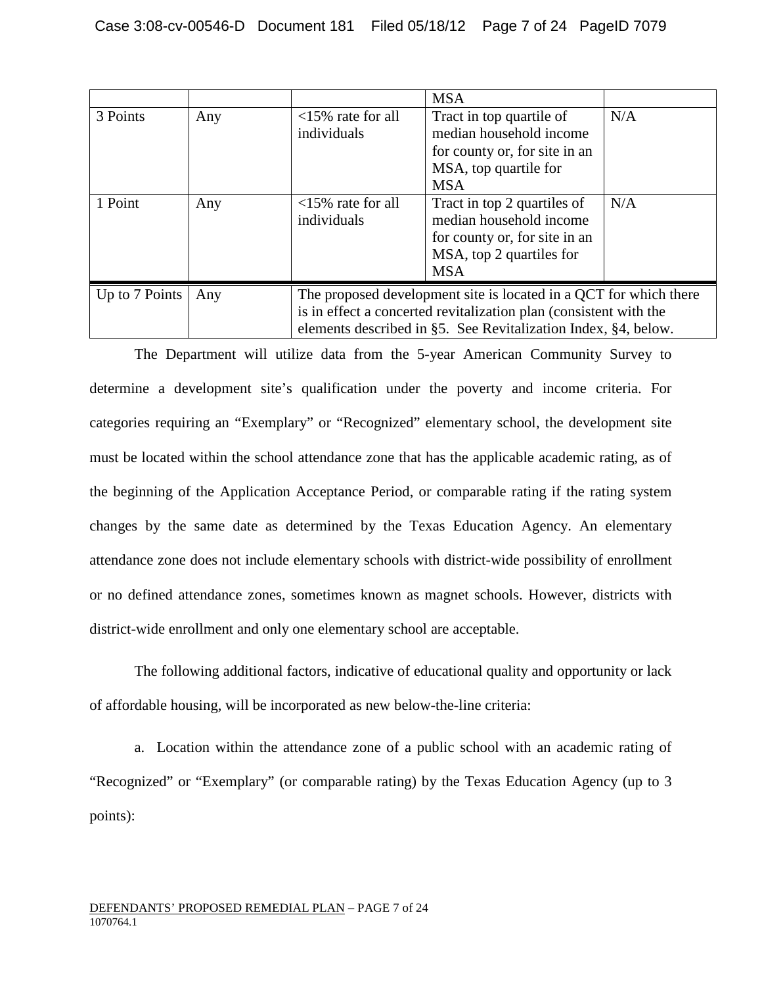|                |     |                                                                                                                                                                                                          | <b>MSA</b>                                                                                                                        |     |
|----------------|-----|----------------------------------------------------------------------------------------------------------------------------------------------------------------------------------------------------------|-----------------------------------------------------------------------------------------------------------------------------------|-----|
| 3 Points       | Any | $\langle 15\%$ rate for all<br>individuals                                                                                                                                                               | Tract in top quartile of<br>median household income<br>for county or, for site in an<br>MSA, top quartile for<br><b>MSA</b>       | N/A |
| 1 Point        | Any | $<$ 15% rate for all<br>individuals                                                                                                                                                                      | Tract in top 2 quartiles of<br>median household income<br>for county or, for site in an<br>MSA, top 2 quartiles for<br><b>MSA</b> | N/A |
| Up to 7 Points | Any | The proposed development site is located in a QCT for which there<br>is in effect a concerted revitalization plan (consistent with the<br>elements described in §5. See Revitalization Index, §4, below. |                                                                                                                                   |     |

The Department will utilize data from the 5-year American Community Survey to determine a development site's qualification under the poverty and income criteria. For categories requiring an "Exemplary" or "Recognized" elementary school, the development site must be located within the school attendance zone that has the applicable academic rating, as of the beginning of the Application Acceptance Period, or comparable rating if the rating system changes by the same date as determined by the Texas Education Agency. An elementary attendance zone does not include elementary schools with district-wide possibility of enrollment or no defined attendance zones, sometimes known as magnet schools. However, districts with district-wide enrollment and only one elementary school are acceptable.

The following additional factors, indicative of educational quality and opportunity or lack of affordable housing, will be incorporated as new below-the-line criteria:

a. Location within the attendance zone of a public school with an academic rating of "Recognized" or "Exemplary" (or comparable rating) by the Texas Education Agency (up to 3 points):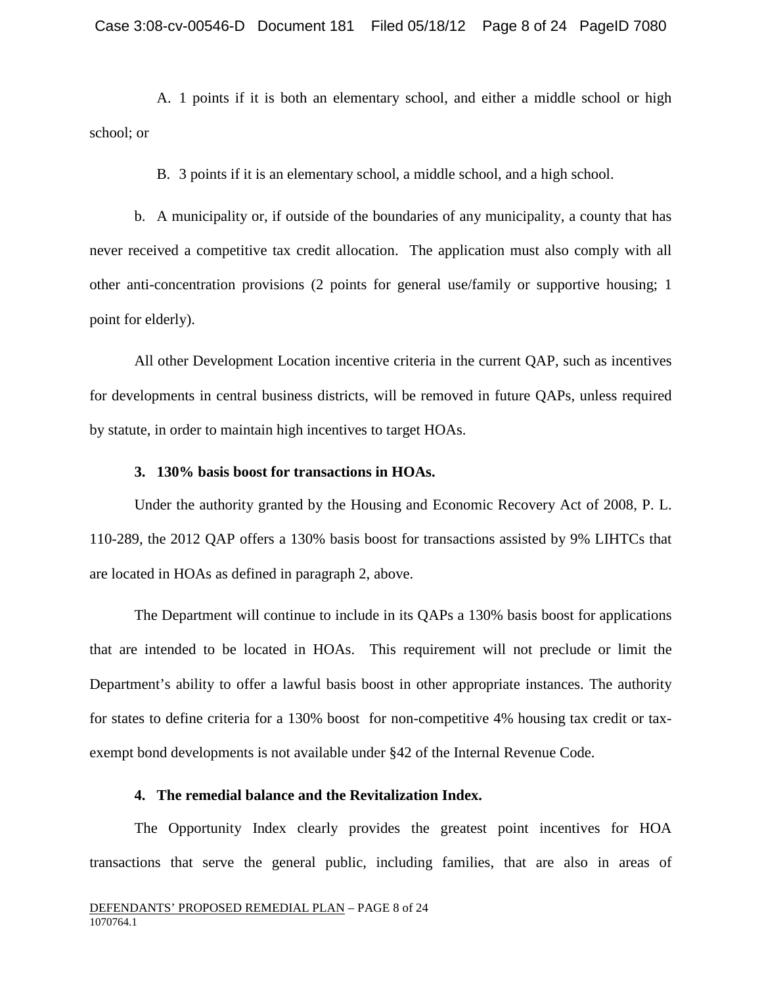A. 1 points if it is both an elementary school, and either a middle school or high school; or

B. 3 points if it is an elementary school, a middle school, and a high school.

b. A municipality or, if outside of the boundaries of any municipality, a county that has never received a competitive tax credit allocation. The application must also comply with all other anti-concentration provisions (2 points for general use/family or supportive housing; 1 point for elderly).

All other Development Location incentive criteria in the current QAP, such as incentives for developments in central business districts, will be removed in future QAPs, unless required by statute, in order to maintain high incentives to target HOAs.

### **3. 130% basis boost for transactions in HOAs.**

Under the authority granted by the Housing and Economic Recovery Act of 2008, P. L. 110-289, the 2012 QAP offers a 130% basis boost for transactions assisted by 9% LIHTCs that are located in HOAs as defined in paragraph 2, above.

The Department will continue to include in its QAPs a 130% basis boost for applications that are intended to be located in HOAs. This requirement will not preclude or limit the Department's ability to offer a lawful basis boost in other appropriate instances. The authority for states to define criteria for a 130% boost for non-competitive 4% housing tax credit or taxexempt bond developments is not available under §42 of the Internal Revenue Code.

## **4. The remedial balance and the Revitalization Index.**

The Opportunity Index clearly provides the greatest point incentives for HOA transactions that serve the general public, including families, that are also in areas of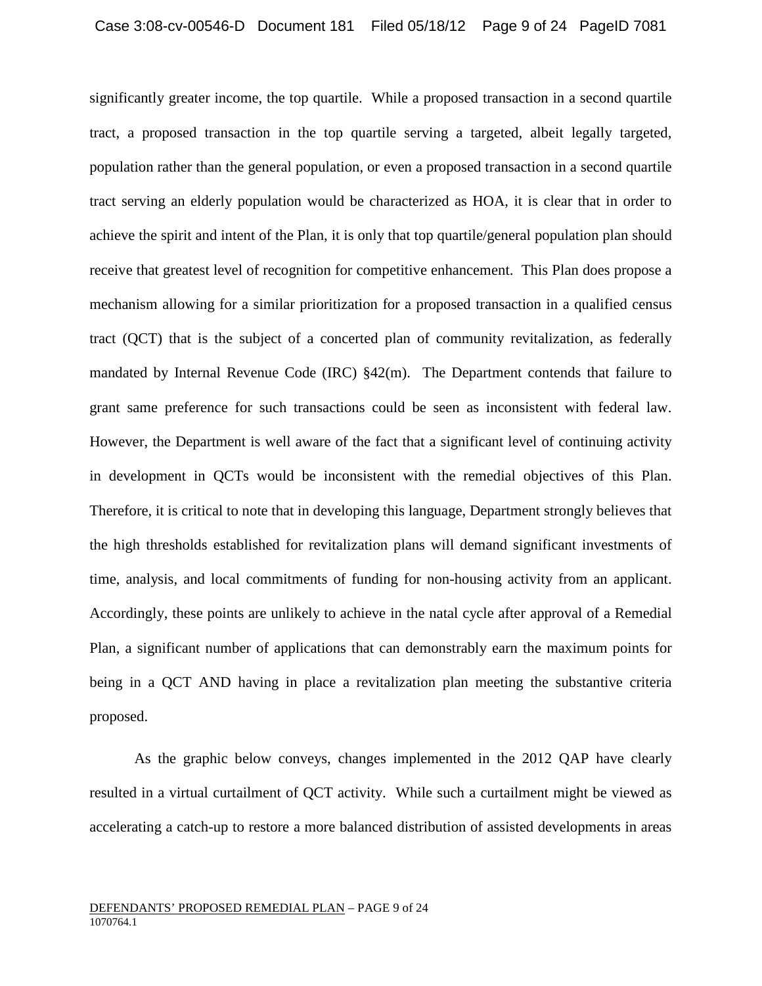significantly greater income, the top quartile. While a proposed transaction in a second quartile tract, a proposed transaction in the top quartile serving a targeted, albeit legally targeted, population rather than the general population, or even a proposed transaction in a second quartile tract serving an elderly population would be characterized as HOA, it is clear that in order to achieve the spirit and intent of the Plan, it is only that top quartile/general population plan should receive that greatest level of recognition for competitive enhancement. This Plan does propose a mechanism allowing for a similar prioritization for a proposed transaction in a qualified census tract (QCT) that is the subject of a concerted plan of community revitalization, as federally mandated by Internal Revenue Code (IRC)  $\S 42(m)$ . The Department contends that failure to grant same preference for such transactions could be seen as inconsistent with federal law. However, the Department is well aware of the fact that a significant level of continuing activity in development in QCTs would be inconsistent with the remedial objectives of this Plan. Therefore, it is critical to note that in developing this language, Department strongly believes that the high thresholds established for revitalization plans will demand significant investments of time, analysis, and local commitments of funding for non-housing activity from an applicant. Accordingly, these points are unlikely to achieve in the natal cycle after approval of a Remedial Plan, a significant number of applications that can demonstrably earn the maximum points for being in a QCT AND having in place a revitalization plan meeting the substantive criteria proposed.

As the graphic below conveys, changes implemented in the 2012 QAP have clearly resulted in a virtual curtailment of QCT activity. While such a curtailment might be viewed as accelerating a catch-up to restore a more balanced distribution of assisted developments in areas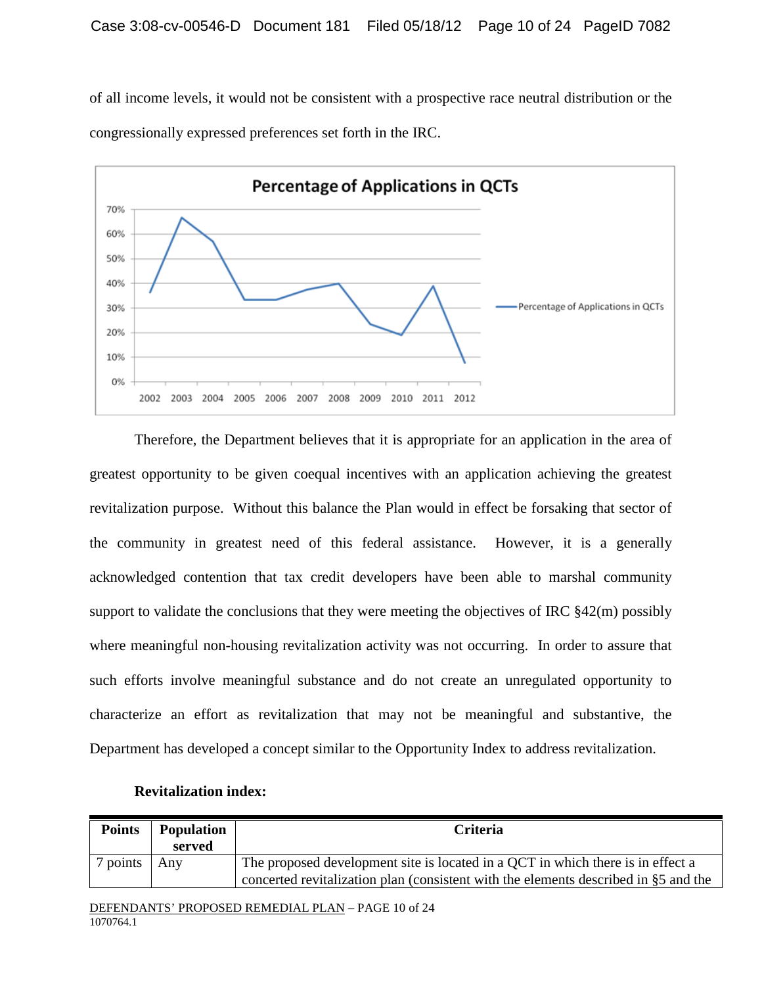of all income levels, it would not be consistent with a prospective race neutral distribution or the congressionally expressed preferences set forth in the IRC.



Therefore, the Department believes that it is appropriate for an application in the area of greatest opportunity to be given coequal incentives with an application achieving the greatest revitalization purpose. Without this balance the Plan would in effect be forsaking that sector of the community in greatest need of this federal assistance. However, it is a generally acknowledged contention that tax credit developers have been able to marshal community support to validate the conclusions that they were meeting the objectives of IRC §42(m) possibly where meaningful non-housing revitalization activity was not occurring. In order to assure that such efforts involve meaningful substance and do not create an unregulated opportunity to characterize an effort as revitalization that may not be meaningful and substantive, the Department has developed a concept similar to the Opportunity Index to address revitalization.

| <b>Points</b>   | <b>Population</b><br>served | <b>Criteria</b>                                                                                                                                                        |
|-----------------|-----------------------------|------------------------------------------------------------------------------------------------------------------------------------------------------------------------|
| $\sigma$ points | Any                         | The proposed development site is located in a QCT in which there is in effect a<br>concerted revitalization plan (consistent with the elements described in §5 and the |

## **Revitalization index:**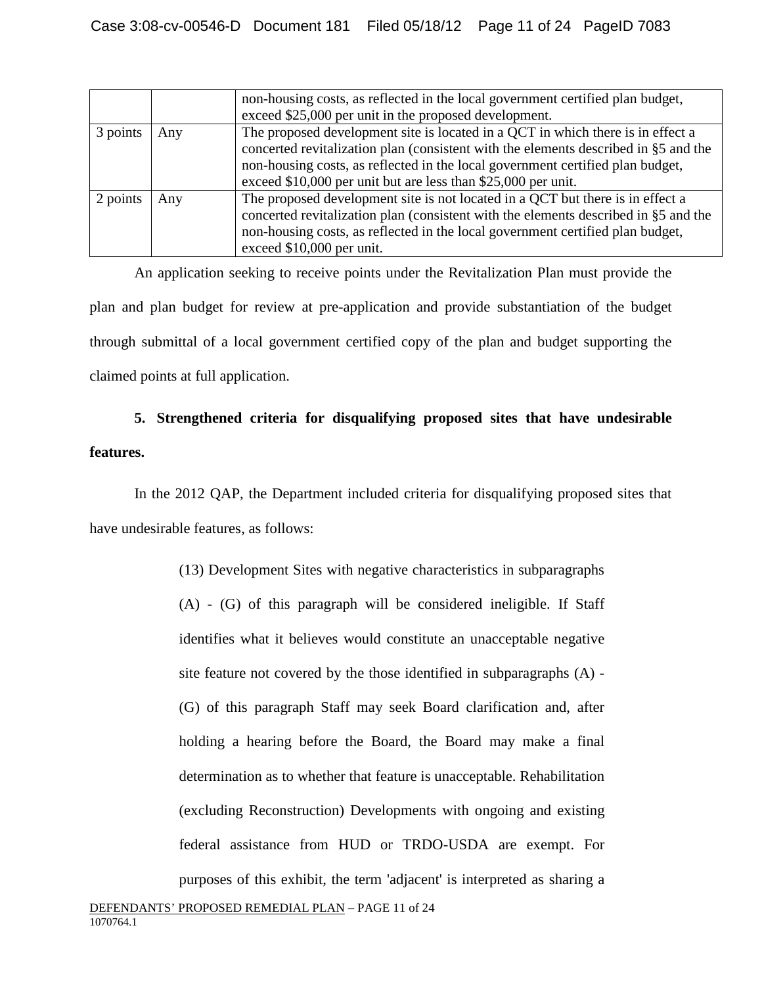|          |     | non-housing costs, as reflected in the local government certified plan budget,<br>exceed \$25,000 per unit in the proposed development.                                                                                                                                                                                   |
|----------|-----|---------------------------------------------------------------------------------------------------------------------------------------------------------------------------------------------------------------------------------------------------------------------------------------------------------------------------|
| 3 points | Any | The proposed development site is located in a QCT in which there is in effect a<br>concerted revitalization plan (consistent with the elements described in §5 and the<br>non-housing costs, as reflected in the local government certified plan budget,<br>exceed \$10,000 per unit but are less than \$25,000 per unit. |
| 2 points | Any | The proposed development site is not located in a QCT but there is in effect a<br>concerted revitalization plan (consistent with the elements described in §5 and the<br>non-housing costs, as reflected in the local government certified plan budget,<br>exceed \$10,000 per unit.                                      |

An application seeking to receive points under the Revitalization Plan must provide the plan and plan budget for review at pre-application and provide substantiation of the budget through submittal of a local government certified copy of the plan and budget supporting the claimed points at full application.

## **5. Strengthened criteria for disqualifying proposed sites that have undesirable features.**

In the 2012 QAP, the Department included criteria for disqualifying proposed sites that have undesirable features, as follows:

> (13) Development Sites with negative characteristics in subparagraphs (A) - (G) of this paragraph will be considered ineligible. If Staff identifies what it believes would constitute an unacceptable negative site feature not covered by the those identified in subparagraphs (A) - (G) of this paragraph Staff may seek Board clarification and, after holding a hearing before the Board, the Board may make a final determination as to whether that feature is unacceptable. Rehabilitation (excluding Reconstruction) Developments with ongoing and existing federal assistance from HUD or TRDO-USDA are exempt. For purposes of this exhibit, the term 'adjacent' is interpreted as sharing a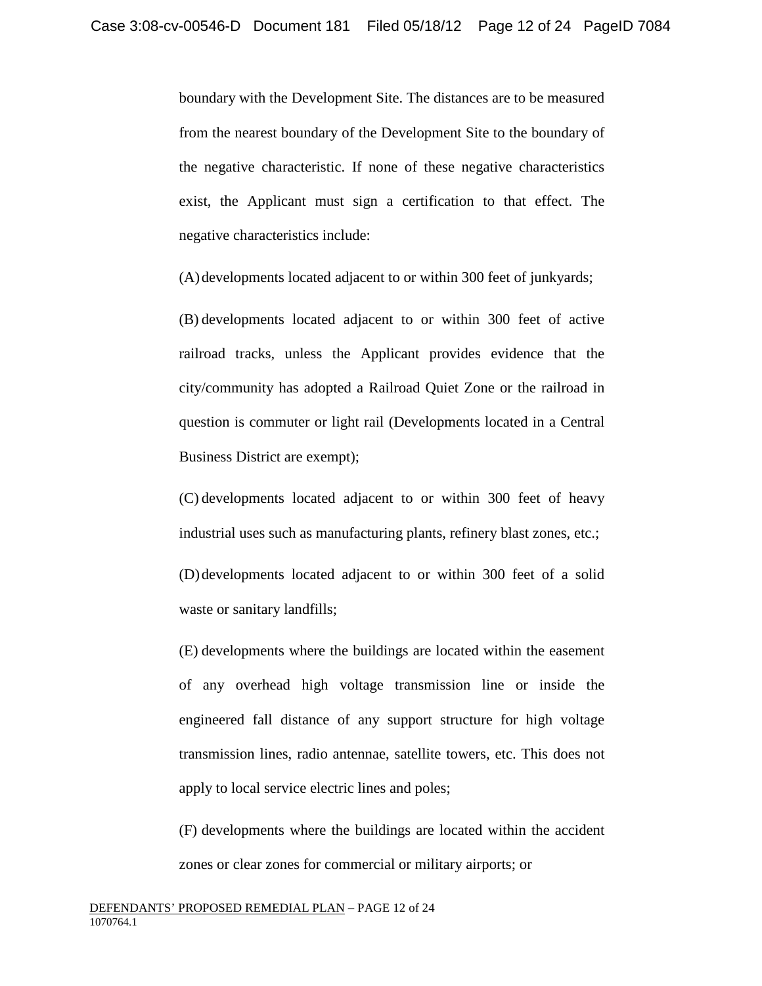boundary with the Development Site. The distances are to be measured from the nearest boundary of the Development Site to the boundary of the negative characteristic. If none of these negative characteristics exist, the Applicant must sign a certification to that effect. The negative characteristics include:

(A)developments located adjacent to or within 300 feet of junkyards;

(B) developments located adjacent to or within 300 feet of active railroad tracks, unless the Applicant provides evidence that the city/community has adopted a Railroad Quiet Zone or the railroad in question is commuter or light rail (Developments located in a Central Business District are exempt);

(C) developments located adjacent to or within 300 feet of heavy industrial uses such as manufacturing plants, refinery blast zones, etc.;

(D)developments located adjacent to or within 300 feet of a solid waste or sanitary landfills;

(E) developments where the buildings are located within the easement of any overhead high voltage transmission line or inside the engineered fall distance of any support structure for high voltage transmission lines, radio antennae, satellite towers, etc. This does not apply to local service electric lines and poles;

(F) developments where the buildings are located within the accident zones or clear zones for commercial or military airports; or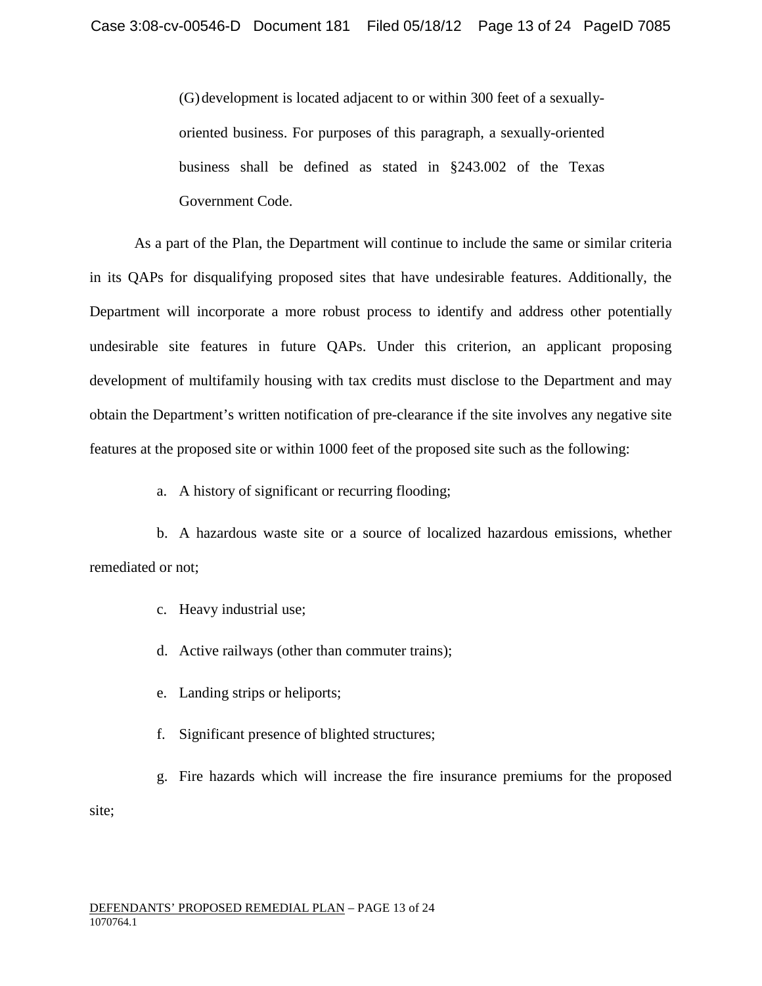(G)development is located adjacent to or within 300 feet of a sexuallyoriented business. For purposes of this paragraph, a sexually-oriented business shall be defined as stated in §243.002 of the Texas Government Code.

As a part of the Plan, the Department will continue to include the same or similar criteria in its QAPs for disqualifying proposed sites that have undesirable features. Additionally, the Department will incorporate a more robust process to identify and address other potentially undesirable site features in future QAPs. Under this criterion, an applicant proposing development of multifamily housing with tax credits must disclose to the Department and may obtain the Department's written notification of pre-clearance if the site involves any negative site features at the proposed site or within 1000 feet of the proposed site such as the following:

a. A history of significant or recurring flooding;

b. A hazardous waste site or a source of localized hazardous emissions, whether remediated or not;

- c. Heavy industrial use;
- d. Active railways (other than commuter trains);
- e. Landing strips or heliports;
- f. Significant presence of blighted structures;

g. Fire hazards which will increase the fire insurance premiums for the proposed site;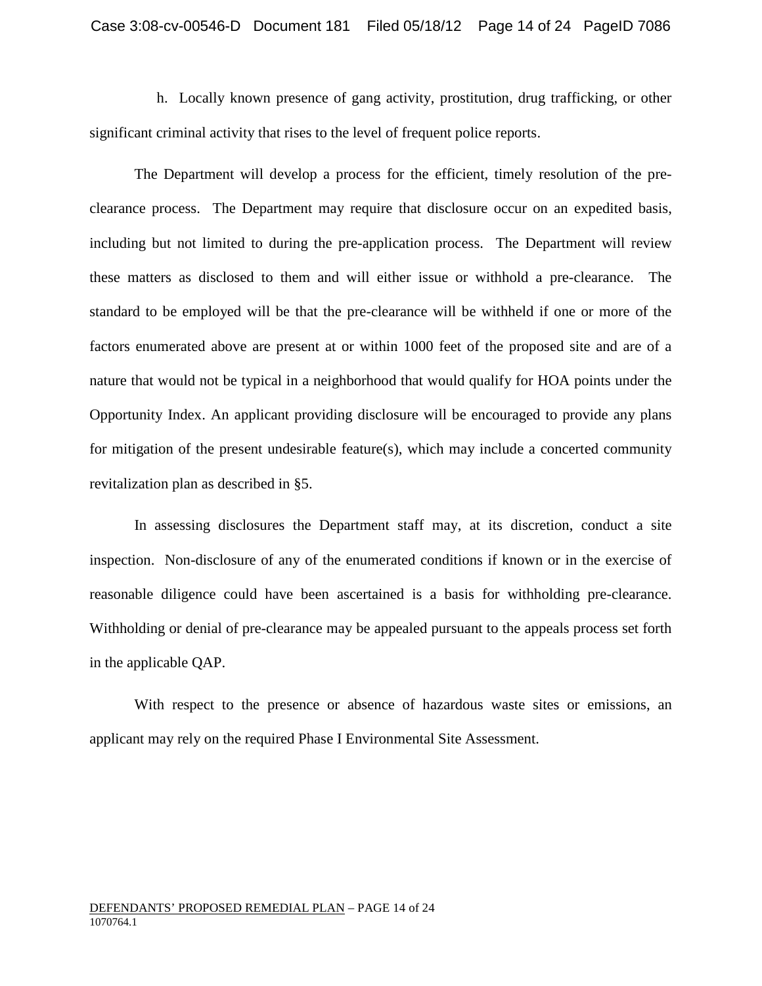h. Locally known presence of gang activity, prostitution, drug trafficking, or other significant criminal activity that rises to the level of frequent police reports.

The Department will develop a process for the efficient, timely resolution of the preclearance process. The Department may require that disclosure occur on an expedited basis, including but not limited to during the pre-application process. The Department will review these matters as disclosed to them and will either issue or withhold a pre-clearance. The standard to be employed will be that the pre-clearance will be withheld if one or more of the factors enumerated above are present at or within 1000 feet of the proposed site and are of a nature that would not be typical in a neighborhood that would qualify for HOA points under the Opportunity Index. An applicant providing disclosure will be encouraged to provide any plans for mitigation of the present undesirable feature(s), which may include a concerted community revitalization plan as described in §5.

In assessing disclosures the Department staff may, at its discretion, conduct a site inspection. Non-disclosure of any of the enumerated conditions if known or in the exercise of reasonable diligence could have been ascertained is a basis for withholding pre-clearance. Withholding or denial of pre-clearance may be appealed pursuant to the appeals process set forth in the applicable QAP.

With respect to the presence or absence of hazardous waste sites or emissions, an applicant may rely on the required Phase I Environmental Site Assessment.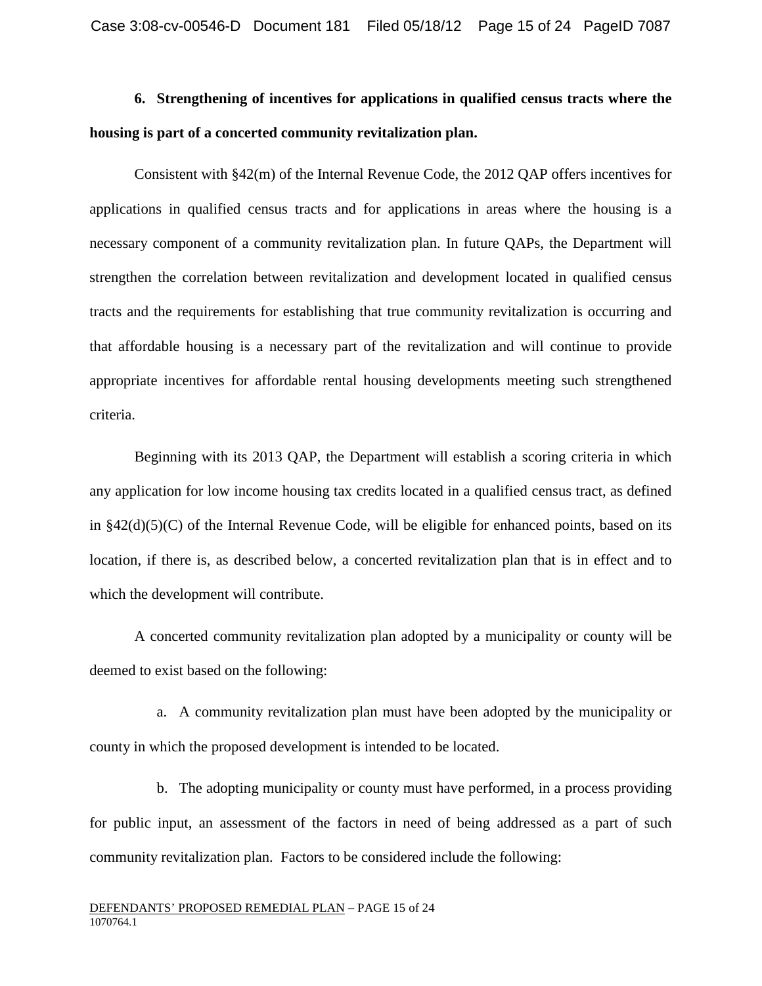# **6. Strengthening of incentives for applications in qualified census tracts where the housing is part of a concerted community revitalization plan.**

Consistent with §42(m) of the Internal Revenue Code, the 2012 QAP offers incentives for applications in qualified census tracts and for applications in areas where the housing is a necessary component of a community revitalization plan. In future QAPs, the Department will strengthen the correlation between revitalization and development located in qualified census tracts and the requirements for establishing that true community revitalization is occurring and that affordable housing is a necessary part of the revitalization and will continue to provide appropriate incentives for affordable rental housing developments meeting such strengthened criteria.

Beginning with its 2013 QAP, the Department will establish a scoring criteria in which any application for low income housing tax credits located in a qualified census tract, as defined in  $§42(d)(5)(C)$  of the Internal Revenue Code, will be eligible for enhanced points, based on its location, if there is, as described below, a concerted revitalization plan that is in effect and to which the development will contribute.

A concerted community revitalization plan adopted by a municipality or county will be deemed to exist based on the following:

a. A community revitalization plan must have been adopted by the municipality or county in which the proposed development is intended to be located.

b. The adopting municipality or county must have performed, in a process providing for public input, an assessment of the factors in need of being addressed as a part of such community revitalization plan. Factors to be considered include the following: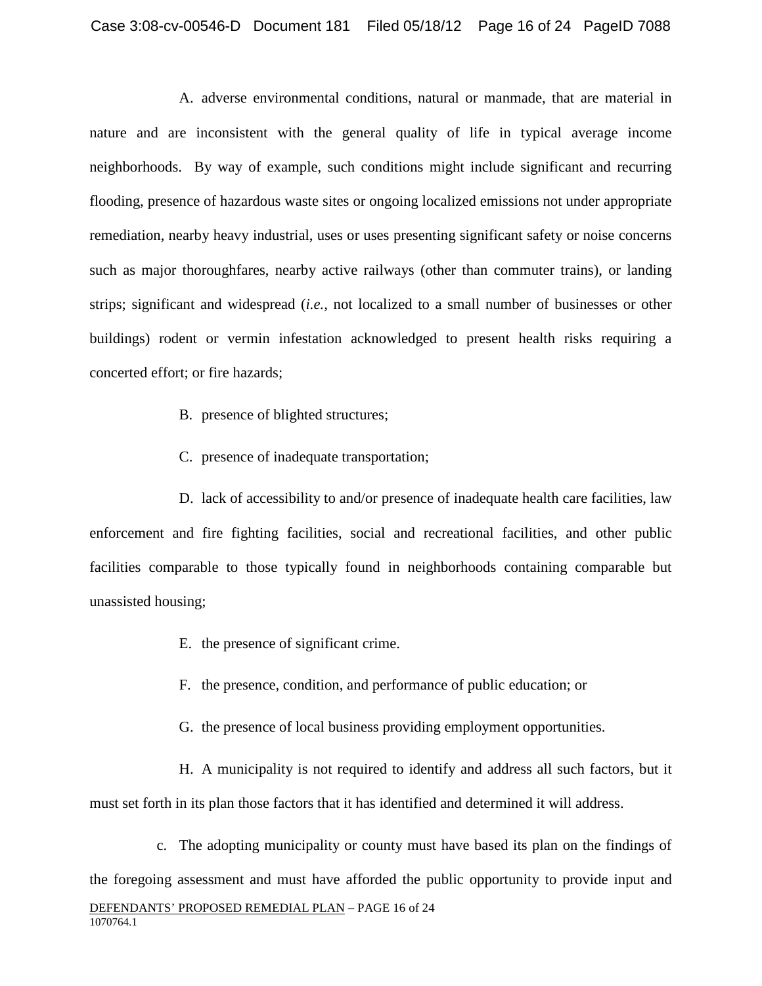A. adverse environmental conditions, natural or manmade, that are material in nature and are inconsistent with the general quality of life in typical average income neighborhoods. By way of example, such conditions might include significant and recurring flooding, presence of hazardous waste sites or ongoing localized emissions not under appropriate remediation, nearby heavy industrial, uses or uses presenting significant safety or noise concerns such as major thoroughfares, nearby active railways (other than commuter trains), or landing strips; significant and widespread (*i.e.,* not localized to a small number of businesses or other buildings) rodent or vermin infestation acknowledged to present health risks requiring a concerted effort; or fire hazards;

- B. presence of blighted structures;
- C. presence of inadequate transportation;

D. lack of accessibility to and/or presence of inadequate health care facilities, law enforcement and fire fighting facilities, social and recreational facilities, and other public facilities comparable to those typically found in neighborhoods containing comparable but unassisted housing;

- E. the presence of significant crime.
- F. the presence, condition, and performance of public education; or
- G. the presence of local business providing employment opportunities.

H. A municipality is not required to identify and address all such factors, but it must set forth in its plan those factors that it has identified and determined it will address.

DEFENDANTS' PROPOSED REMEDIAL PLAN – PAGE 16 of 24 1070764.1 c. The adopting municipality or county must have based its plan on the findings of the foregoing assessment and must have afforded the public opportunity to provide input and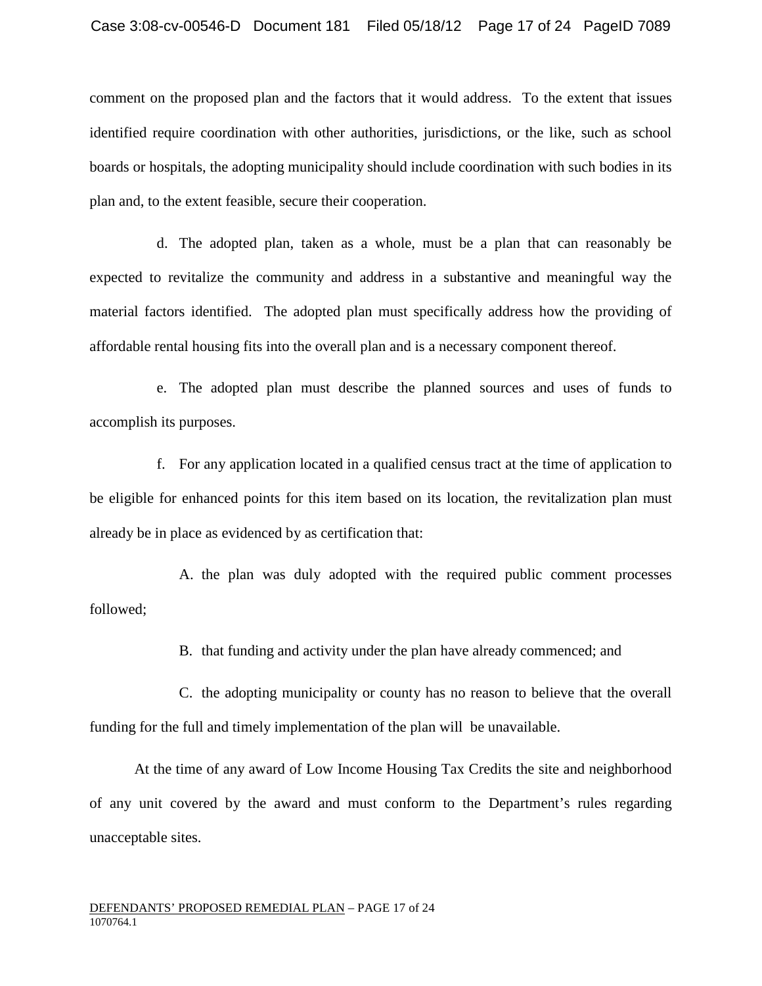comment on the proposed plan and the factors that it would address. To the extent that issues identified require coordination with other authorities, jurisdictions, or the like, such as school boards or hospitals, the adopting municipality should include coordination with such bodies in its plan and, to the extent feasible, secure their cooperation.

d. The adopted plan, taken as a whole, must be a plan that can reasonably be expected to revitalize the community and address in a substantive and meaningful way the material factors identified. The adopted plan must specifically address how the providing of affordable rental housing fits into the overall plan and is a necessary component thereof.

e. The adopted plan must describe the planned sources and uses of funds to accomplish its purposes.

f. For any application located in a qualified census tract at the time of application to be eligible for enhanced points for this item based on its location, the revitalization plan must already be in place as evidenced by as certification that:

A. the plan was duly adopted with the required public comment processes followed;

B. that funding and activity under the plan have already commenced; and

C. the adopting municipality or county has no reason to believe that the overall funding for the full and timely implementation of the plan will be unavailable.

At the time of any award of Low Income Housing Tax Credits the site and neighborhood of any unit covered by the award and must conform to the Department's rules regarding unacceptable sites.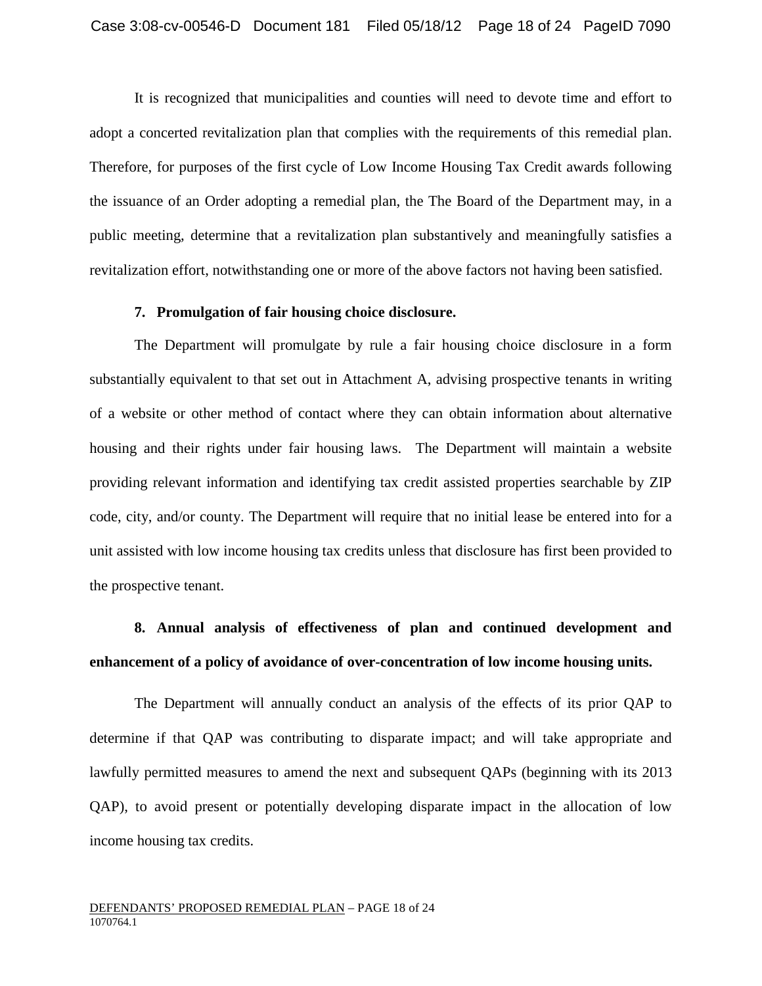It is recognized that municipalities and counties will need to devote time and effort to adopt a concerted revitalization plan that complies with the requirements of this remedial plan. Therefore, for purposes of the first cycle of Low Income Housing Tax Credit awards following the issuance of an Order adopting a remedial plan, the The Board of the Department may, in a public meeting, determine that a revitalization plan substantively and meaningfully satisfies a revitalization effort, notwithstanding one or more of the above factors not having been satisfied.

#### **7. Promulgation of fair housing choice disclosure.**

The Department will promulgate by rule a fair housing choice disclosure in a form substantially equivalent to that set out in Attachment A, advising prospective tenants in writing of a website or other method of contact where they can obtain information about alternative housing and their rights under fair housing laws. The Department will maintain a website providing relevant information and identifying tax credit assisted properties searchable by ZIP code, city, and/or county. The Department will require that no initial lease be entered into for a unit assisted with low income housing tax credits unless that disclosure has first been provided to the prospective tenant.

## **8. Annual analysis of effectiveness of plan and continued development and enhancement of a policy of avoidance of over-concentration of low income housing units.**

The Department will annually conduct an analysis of the effects of its prior QAP to determine if that QAP was contributing to disparate impact; and will take appropriate and lawfully permitted measures to amend the next and subsequent QAPs (beginning with its 2013 QAP), to avoid present or potentially developing disparate impact in the allocation of low income housing tax credits.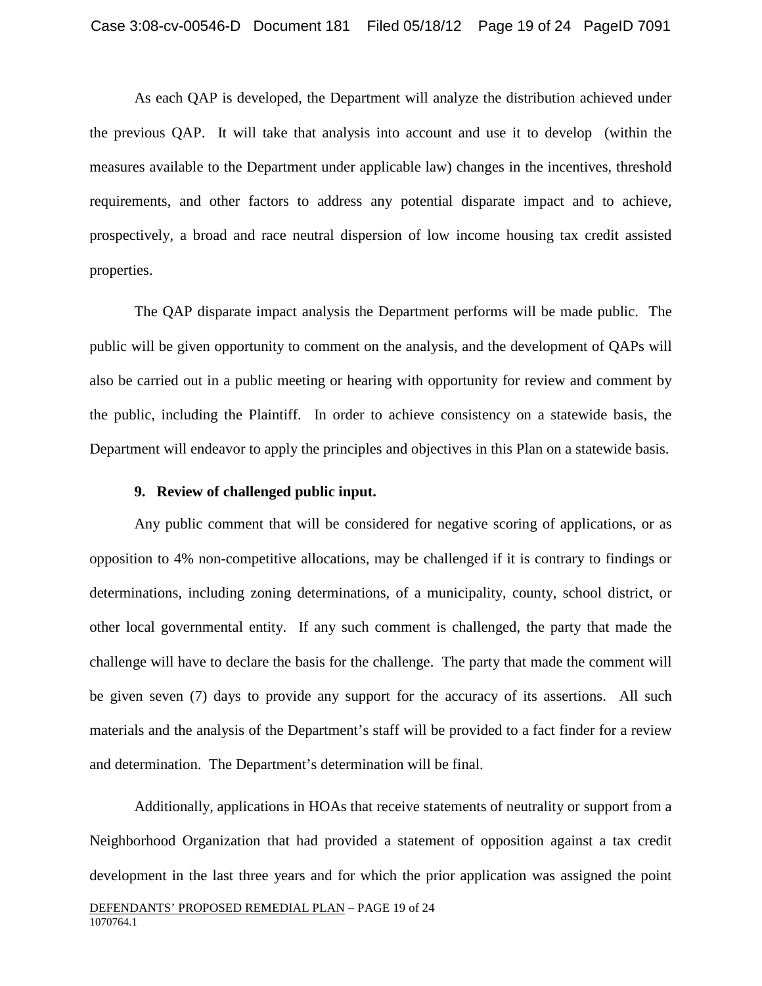As each QAP is developed, the Department will analyze the distribution achieved under the previous QAP. It will take that analysis into account and use it to develop (within the measures available to the Department under applicable law) changes in the incentives, threshold requirements, and other factors to address any potential disparate impact and to achieve, prospectively, a broad and race neutral dispersion of low income housing tax credit assisted properties.

The QAP disparate impact analysis the Department performs will be made public. The public will be given opportunity to comment on the analysis, and the development of QAPs will also be carried out in a public meeting or hearing with opportunity for review and comment by the public, including the Plaintiff. In order to achieve consistency on a statewide basis, the Department will endeavor to apply the principles and objectives in this Plan on a statewide basis.

#### **9. Review of challenged public input.**

Any public comment that will be considered for negative scoring of applications, or as opposition to 4% non-competitive allocations, may be challenged if it is contrary to findings or determinations, including zoning determinations, of a municipality, county, school district, or other local governmental entity. If any such comment is challenged, the party that made the challenge will have to declare the basis for the challenge. The party that made the comment will be given seven (7) days to provide any support for the accuracy of its assertions. All such materials and the analysis of the Department's staff will be provided to a fact finder for a review and determination. The Department's determination will be final.

DEFENDANTS' PROPOSED REMEDIAL PLAN – PAGE 19 of 24 1070764.1 Additionally, applications in HOAs that receive statements of neutrality or support from a Neighborhood Organization that had provided a statement of opposition against a tax credit development in the last three years and for which the prior application was assigned the point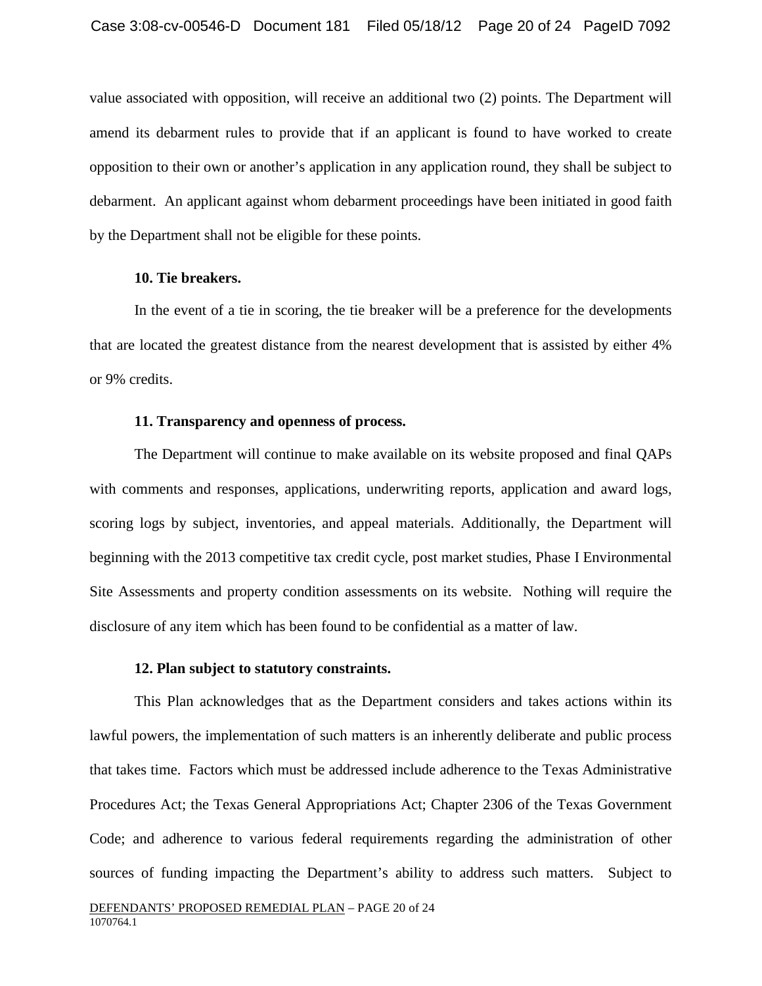value associated with opposition, will receive an additional two (2) points. The Department will amend its debarment rules to provide that if an applicant is found to have worked to create opposition to their own or another's application in any application round, they shall be subject to debarment. An applicant against whom debarment proceedings have been initiated in good faith by the Department shall not be eligible for these points.

### **10. Tie breakers.**

In the event of a tie in scoring, the tie breaker will be a preference for the developments that are located the greatest distance from the nearest development that is assisted by either 4% or 9% credits.

#### **11. Transparency and openness of process.**

The Department will continue to make available on its website proposed and final QAPs with comments and responses, applications, underwriting reports, application and award logs, scoring logs by subject, inventories, and appeal materials. Additionally, the Department will beginning with the 2013 competitive tax credit cycle, post market studies, Phase I Environmental Site Assessments and property condition assessments on its website. Nothing will require the disclosure of any item which has been found to be confidential as a matter of law.

#### **12. Plan subject to statutory constraints.**

This Plan acknowledges that as the Department considers and takes actions within its lawful powers, the implementation of such matters is an inherently deliberate and public process that takes time. Factors which must be addressed include adherence to the Texas Administrative Procedures Act; the Texas General Appropriations Act; Chapter 2306 of the Texas Government Code; and adherence to various federal requirements regarding the administration of other sources of funding impacting the Department's ability to address such matters. Subject to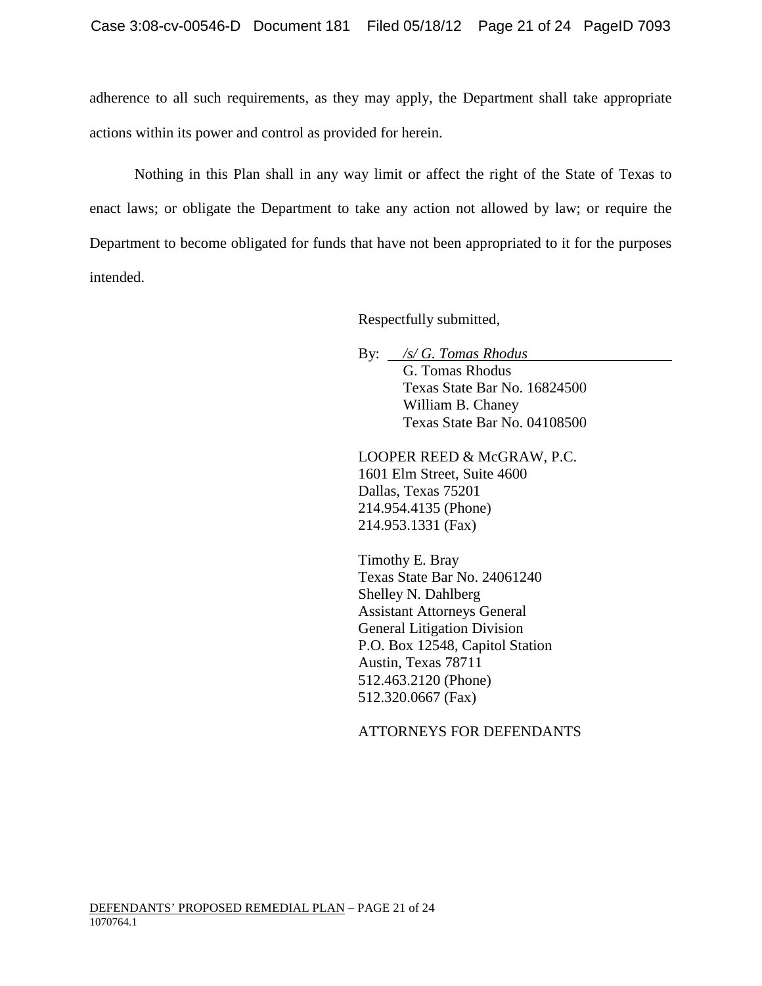adherence to all such requirements, as they may apply, the Department shall take appropriate actions within its power and control as provided for herein.

Nothing in this Plan shall in any way limit or affect the right of the State of Texas to enact laws; or obligate the Department to take any action not allowed by law; or require the Department to become obligated for funds that have not been appropriated to it for the purposes intended.

Respectfully submitted,

By: */s/ G. Tomas Rhodus* G. Tomas Rhodus Texas State Bar No. 16824500 William B. Chaney Texas State Bar No. 04108500

LOOPER REED & McGRAW, P.C. 1601 Elm Street, Suite 4600 Dallas, Texas 75201 214.954.4135 (Phone) 214.953.1331 (Fax)

Timothy E. Bray Texas State Bar No. 24061240 Shelley N. Dahlberg Assistant Attorneys General General Litigation Division P.O. Box 12548, Capitol Station Austin, Texas 78711 512.463.2120 (Phone) 512.320.0667 (Fax)

ATTORNEYS FOR DEFENDANTS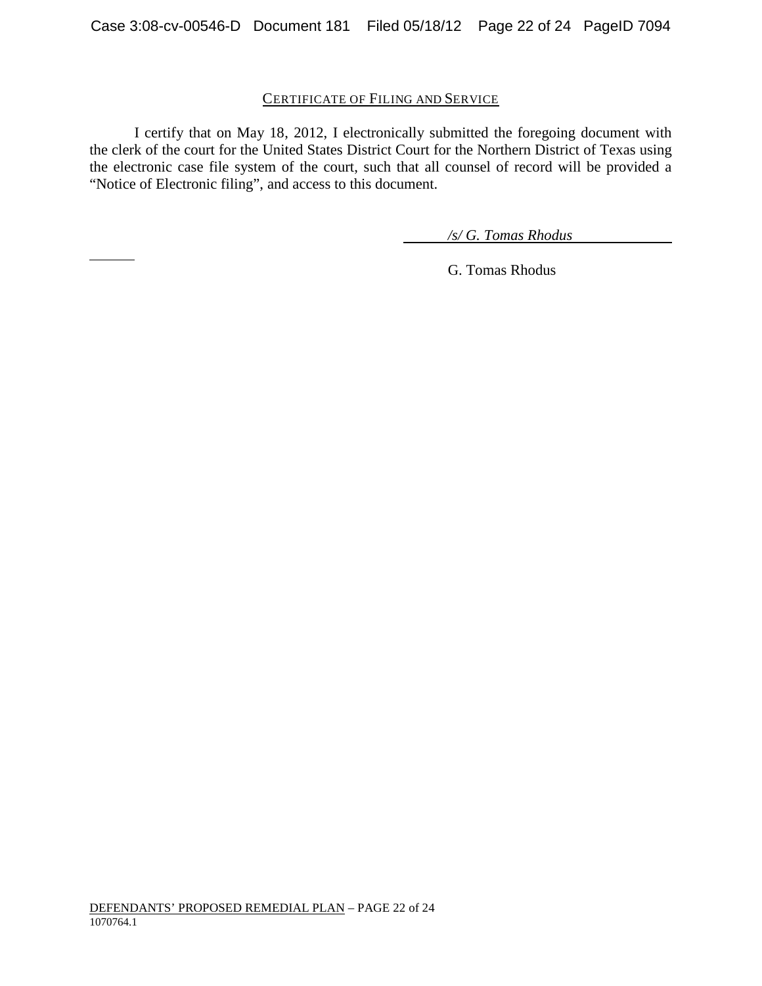## CERTIFICATE OF FILING AND SERVICE

I certify that on May 18, 2012, I electronically submitted the foregoing document with the clerk of the court for the United States District Court for the Northern District of Texas using the electronic case file system of the court, such that all counsel of record will be provided a "Notice of Electronic filing", and access to this document.

*/s/ G. Tomas Rhodus*

G. Tomas Rhodus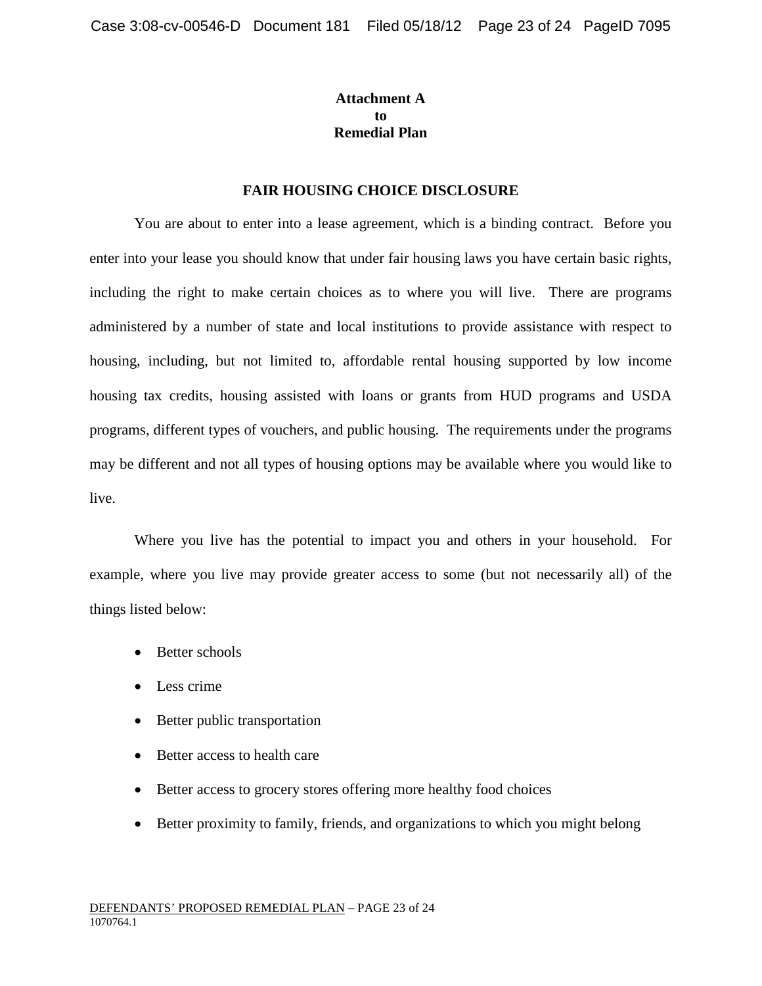## **Attachment A to Remedial Plan**

## **FAIR HOUSING CHOICE DISCLOSURE**

You are about to enter into a lease agreement, which is a binding contract. Before you enter into your lease you should know that under fair housing laws you have certain basic rights, including the right to make certain choices as to where you will live. There are programs administered by a number of state and local institutions to provide assistance with respect to housing, including, but not limited to, affordable rental housing supported by low income housing tax credits, housing assisted with loans or grants from HUD programs and USDA programs, different types of vouchers, and public housing. The requirements under the programs may be different and not all types of housing options may be available where you would like to live.

Where you live has the potential to impact you and others in your household. For example, where you live may provide greater access to some (but not necessarily all) of the things listed below:

- Better schools
- Less crime
- Better public transportation
- Better access to health care
- Better access to grocery stores offering more healthy food choices
- Better proximity to family, friends, and organizations to which you might belong